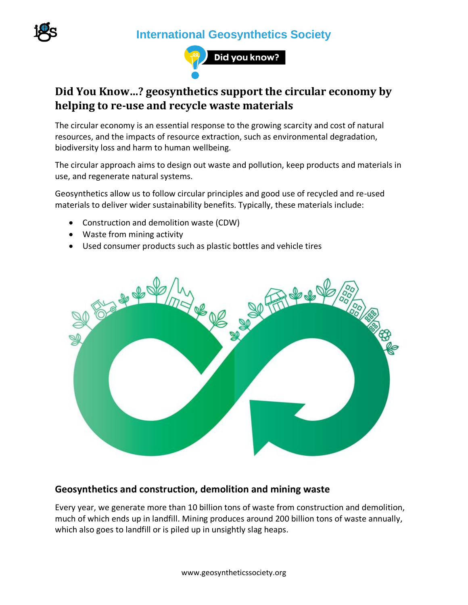**International Geosynthetics Society**





## **Did You Know…? geosynthetics support the circular economy by helping to re-use and recycle waste materials**

The circular economy is an essential response to the growing scarcity and cost of natural resources, and the impacts of resource extraction, such as environmental degradation, biodiversity loss and harm to human wellbeing.

The circular approach aims to design out waste and pollution, keep products and materials in use, and regenerate natural systems.

Geosynthetics allow us to follow circular principles and good use of recycled and re-used materials to deliver wider sustainability benefits. Typically, these materials include:

- Construction and demolition waste (CDW)
- Waste from mining activity
- Used consumer products such as plastic bottles and vehicle tires



### **Geosynthetics and construction, demolition and mining waste**

Every year, we generate more than 10 billion tons of waste from construction and demolition, much of which ends up in landfill. Mining produces around 200 billion tons of waste annually, which also goes to landfill or is piled up in unsightly slag heaps.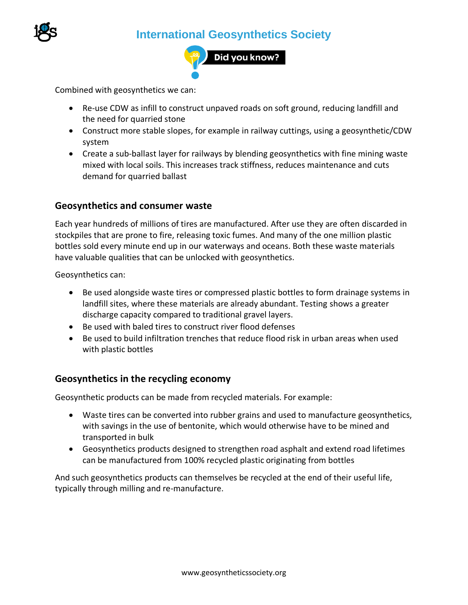

# **International Geosynthetics Society**



Combined with geosynthetics we can:

- Re-use CDW as infill to construct unpaved roads on soft ground, reducing landfill and the need for quarried stone
- Construct more stable slopes, for example in railway cuttings, using a geosynthetic/CDW system
- Create a sub-ballast layer for railways by blending geosynthetics with fine mining waste mixed with local soils. This increases track stiffness, reduces maintenance and cuts demand for quarried ballast

#### **Geosynthetics and consumer waste**

Each year hundreds of millions of tires are manufactured. After use they are often discarded in stockpiles that are prone to fire, releasing toxic fumes. And many of the one million plastic bottles sold every minute end up in our waterways and oceans. Both these waste materials have valuable qualities that can be unlocked with geosynthetics.

Geosynthetics can:

- Be used alongside waste tires or compressed plastic bottles to form drainage systems in landfill sites, where these materials are already abundant. Testing shows a greater discharge capacity compared to traditional gravel layers.
- Be used with baled tires to construct river flood defenses
- Be used to build infiltration trenches that reduce flood risk in urban areas when used with plastic bottles

#### **Geosynthetics in the recycling economy**

Geosynthetic products can be made from recycled materials. For example:

- Waste tires can be converted into rubber grains and used to manufacture geosynthetics, with savings in the use of bentonite, which would otherwise have to be mined and transported in bulk
- Geosynthetics products designed to strengthen road asphalt and extend road lifetimes can be manufactured from 100% recycled plastic originating from bottles

And such geosynthetics products can themselves be recycled at the end of their useful life, typically through milling and re-manufacture.